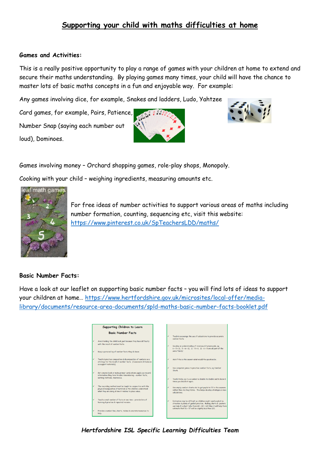## **Supporting your child with maths difficulties at home**

## **Games and Activities:**

This is a really positive opportunity to play a range of games with your children at home to extend and secure their maths understanding. By playing games many times, your child will have the chance to master lots of basic maths concepts in a fun and enjoyable way. For example:

Any games involving dice, for example, Snakes and ladders, Ludo, Yahtzee

Card games, for example, Pairs, Patience, Number Snap (saying each number out loud), Dominoes.





Games involving money – Orchard shopping games, role-play shops, Monopoly.

Cooking with your child – weighing ingredients, measuring amounts etc.



For free ideas of number activities to support various areas of maths including number formation, counting, sequencing etc, visit this website: <https://www.pinterest.co.uk/SpTeachersLDD/maths/>

## **Basic Number Facts:**

Have a look at our leaflet on supporting basic number facts – you will find lots of ideas to support your children at home… [https://www.hertfordshire.gov.uk/microsites/local-offer/media](https://www.hertfordshire.gov.uk/microsites/local-offer/media-library/documents/resource-area-documents/spld-maths-basic-number-facts-booklet.pdf)[library/documents/resource-area-documents/spld-maths-basic-number-facts-booklet.pdf](https://www.hertfordshire.gov.uk/microsites/local-offer/media-library/documents/resource-area-documents/spld-maths-basic-number-facts-booklet.pdf)

|   | Supporting Children to Learn                                                                                                                                                        |
|---|-------------------------------------------------------------------------------------------------------------------------------------------------------------------------------------|
|   | <b>Basic Number Facts</b>                                                                                                                                                           |
|   | Avoid holding the child back just because they have difficulty                                                                                                                      |
|   | with the recall of number facts.                                                                                                                                                    |
|   | Keep a personal log of number facts they do know.                                                                                                                                   |
|   | Teach & practise composition & decomposition of numbers as a<br>strategy for the recall of number facts. (Cuisennaire & Numicon<br>as support materials).                           |
|   | Get a memo book or make prompt cards where pupils can record                                                                                                                        |
|   | information they have trouble remembering - number facts.<br>working methods, mnemonics.                                                                                            |
| ✓ | The recording method must be taught in conjunction with the<br>physical manipulation of material so the children understand<br>what they are doing & how it relates to place value. |
|   | Teach a small number of facts at one time - provide lots of<br>learning & practise & repeated revision.                                                                             |
|   | Provide a number line, charts, tables & concrete resources to<br>help.                                                                                                              |

*Hertfordshire ISL Specific Learning Difficulties Team*